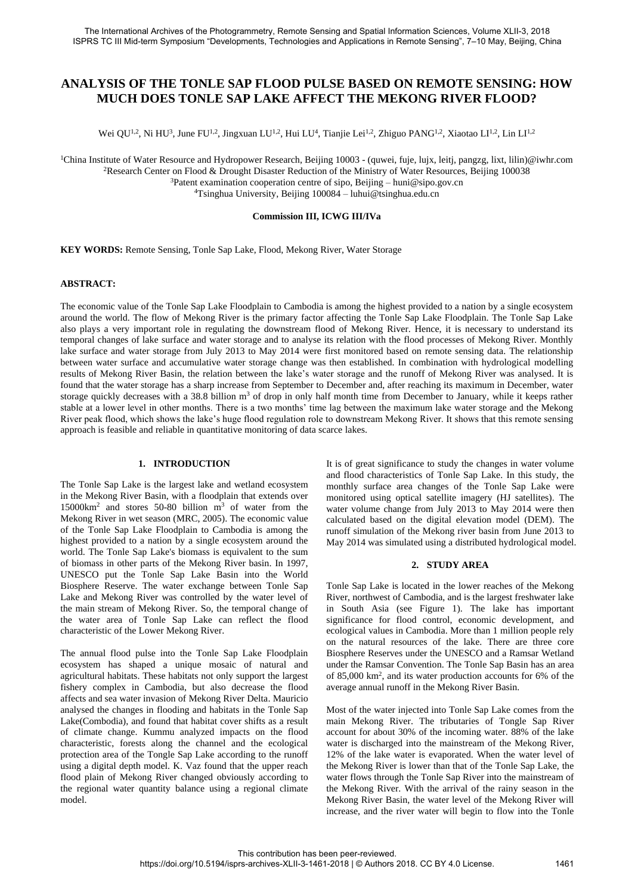# **ANALYSIS OF THE TONLE SAP FLOOD PULSE BASED ON REMOTE SENSING: HOW MUCH DOES TONLE SAP LAKE AFFECT THE MEKONG RIVER FLOOD?**

Wei QU<sup>1,2</sup>, Ni HU<sup>3</sup>, June FU<sup>1,2</sup>, Jingxuan LU<sup>1,2</sup>, Hui LU<sup>4</sup>, Tianjie Lei<sup>1,2</sup>, Zhiguo PANG<sup>1,2</sup>, Xiaotao LI<sup>1,2</sup>, Lin LI<sup>1,2</sup>

<sup>1</sup>China Institute of Water Resource and Hydropower Research, Beijing 10003 - (quwei, fuje, lujx, leitj, pangzg, lixt, lilin)@iwhr.com <sup>2</sup>Research Center on Flood & Drought Disaster Reduction of the Ministry of Water Resources, Beijing 100038 <sup>3</sup>Patent examination cooperation centre of sipo, Beijing – huni@sipo.gov.cn

<sup>4</sup>Tsinghua University, Beijing 100084 – luhui@tsinghua.edu.cn

## **Commission III, ICWG III/IVa**

**KEY WORDS:** Remote Sensing, Tonle Sap Lake, Flood, Mekong River, Water Storage

# **ABSTRACT:**

The economic value of the Tonle Sap Lake Floodplain to Cambodia is among the highest provided to a nation by a single ecosystem around the world. The flow of Mekong River is the primary factor affecting the Tonle Sap Lake Floodplain. The Tonle Sap Lake also plays a very important role in regulating the downstream flood of Mekong River. Hence, it is necessary to understand its temporal changes of lake surface and water storage and to analyse its relation with the flood processes of Mekong River. Monthly lake surface and water storage from July 2013 to May 2014 were first monitored based on remote sensing data. The relationship between water surface and accumulative water storage change was then established. In combination with hydrological modelling results of Mekong River Basin, the relation between the lake's water storage and the runoff of Mekong River was analysed. It is found that the water storage has a sharp increase from September to December and, after reaching its maximum in December, water storage quickly decreases with a 38.8 billion  $m<sup>3</sup>$  of drop in only half month time from December to January, while it keeps rather stable at a lower level in other months. There is a two months' time lag between the maximum lake water storage and the Mekong River peak flood, which shows the lake's huge flood regulation role to downstream Mekong River. It shows that this remote sensing approach is feasible and reliable in quantitative monitoring of data scarce lakes.

## **1. INTRODUCTION**

The Tonle Sap Lake is the largest lake and wetland ecosystem in the Mekong River Basin, with a floodplain that extends over 15000km<sup>2</sup> and stores 50-80 billion m<sup>3</sup> of water from the Mekong River in wet season (MRC, 2005). The economic value of the Tonle Sap Lake Floodplain to Cambodia is among the highest provided to a nation by a single ecosystem around the world. The Tonle Sap Lake's biomass is equivalent to the sum of biomass in other parts of the Mekong River basin. In 1997, UNESCO put the Tonle Sap Lake Basin into the World Biosphere Reserve. The water exchange between Tonle Sap Lake and Mekong River was controlled by the water level of the main stream of Mekong River. So, the temporal change of the water area of Tonle Sap Lake can reflect the flood characteristic of the Lower Mekong River.

The annual flood pulse into the Tonle Sap Lake Floodplain ecosystem has shaped a unique mosaic of natural and agricultural habitats. These habitats not only support the largest fishery complex in Cambodia, but also decrease the flood affects and sea water invasion of Mekong River Delta. Mauricio analysed the changes in flooding and habitats in the Tonle Sap Lake(Combodia), and found that habitat cover shifts as a result of climate change. Kummu analyzed impacts on the flood characteristic, forests along the channel and the ecological protection area of the Tongle Sap Lake according to the runoff using a digital depth model. K. Vaz found that the upper reach flood plain of Mekong River changed obviously according to the regional water quantity balance using a regional climate model.

It is of great significance to study the changes in water volume and flood characteristics of Tonle Sap Lake. In this study, the monthly surface area changes of the Tonle Sap Lake were monitored using optical satellite imagery (HJ satellites). The water volume change from July 2013 to May 2014 were then calculated based on the digital elevation model (DEM). The runoff simulation of the Mekong river basin from June 2013 to May 2014 was simulated using a distributed hydrological model.

## **2. STUDY AREA**

Tonle Sap Lake is located in the lower reaches of the Mekong River, northwest of Cambodia, and is the largest freshwater lake in South Asia (see Figure 1). The lake has important significance for flood control, economic development, and ecological values in Cambodia. More than 1 million people rely on the natural resources of the lake. There are three core Biosphere Reserves under the UNESCO and a Ramsar Wetland under the Ramsar Convention. The Tonle Sap Basin has an area of 85,000 km<sup>2</sup> , and its water production accounts for 6% of the average annual runoff in the Mekong River Basin.

Most of the water injected into Tonle Sap Lake comes from the main Mekong River. The tributaries of Tongle Sap River account for about 30% of the incoming water. 88% of the lake water is discharged into the mainstream of the Mekong River, 12% of the lake water is evaporated. When the water level of the Mekong River is lower than that of the Tonle Sap Lake, the water flows through the Tonle Sap River into the mainstream of the Mekong River. With the arrival of the rainy season in the Mekong River Basin, the water level of the Mekong River will increase, and the river water will begin to flow into the Tonle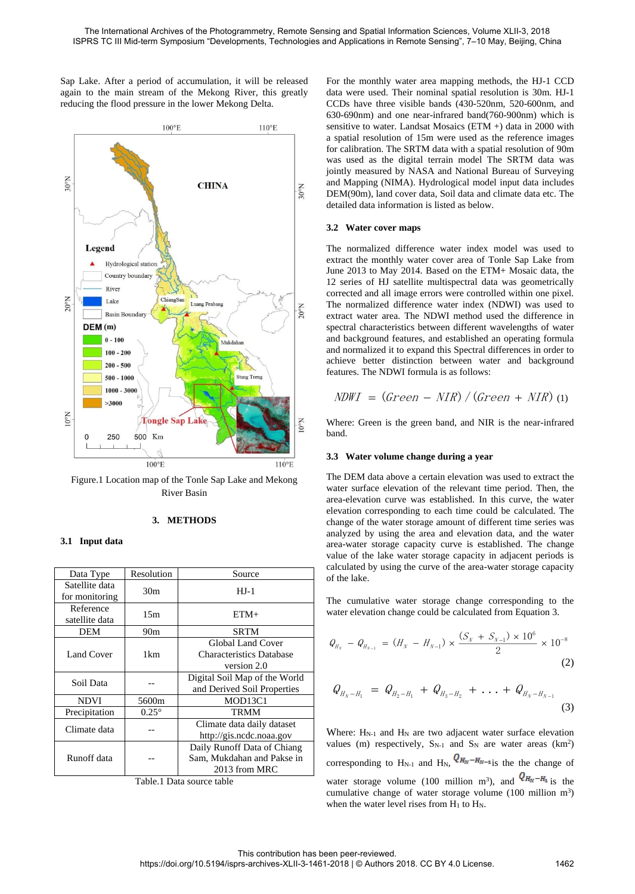$110^{\circ}$ E

 $N_00$ 

 $N<sub>o</sub>0$ 

 $N<sub>0</sub>$ 

 $110^{\circ}E$ 

Sap Lake. After a period of accumulation, it will be released again to the main stream of the Mekong River, this greatly reducing the flood pressure in the lower Mekong Delta.

**CHINA** 

 $100^{\circ}$ E

ChiangSan

Luang Pral

 $M_1$  deded as

**Stung Treng** 

Figure.1 Location map of the Tonle Sap Lake and Mekong River Basin

**Tongle Sap Lake** 

500 Km

 $100^{\circ}E$ 

## **3. METHODS**

#### **3.1 Input data**

 $N<sub>0</sub>$ 

 $N<sub>00</sub>$ 

 $10^{\circ}$ N

 $\Omega$ 

Legend

 $DFM(m)$  $0 - 100$ 

Lake

**Basin Boundary** 

 $100 - 200$  $200 - 500$ 

 $500 - 1000$  $1000 - 3000$  $>3000$ 

250

Hydrological station Country boundary Rive

| Data Type                        | Resolution      | Source                                                      |
|----------------------------------|-----------------|-------------------------------------------------------------|
| Satellite data<br>for monitoring | 30 <sub>m</sub> | $HJ-1$                                                      |
| Reference<br>satellite data      | 15m             | $ETM+$                                                      |
| <b>DEM</b>                       | 90 <sub>m</sub> | <b>SRTM</b>                                                 |
| <b>Land Cover</b>                | 1 <sub>km</sub> | <b>Global Land Cover</b><br><b>Characteristics Database</b> |
|                                  |                 | version 2.0                                                 |
| Soil Data                        |                 | Digital Soil Map of the World                               |
|                                  |                 | and Derived Soil Properties                                 |
| <b>NDVI</b>                      | 5600m           | MOD13C1                                                     |
| Precipitation                    | $0.25^{\circ}$  | <b>TRMM</b>                                                 |
| Climate data                     |                 | Climate data daily dataset                                  |
|                                  |                 | http://gis.ncdc.noaa.gov                                    |
| Runoff data                      |                 | Daily Runoff Data of Chiang                                 |
|                                  |                 | Sam, Mukdahan and Pakse in                                  |
|                                  |                 | 2013 from MRC                                               |

| Table.1 Data source table |  |  |  |
|---------------------------|--|--|--|
|---------------------------|--|--|--|

For the monthly water area mapping methods, the HJ-1 CCD data were used. Their nominal spatial resolution is 30m. HJ-1 CCDs have three visible bands (430-520nm, 520-600nm, and 630-690nm) and one near-infrared band(760-900nm) which is sensitive to water. Landsat Mosaics (ETM +) data in 2000 with a spatial resolution of 15m were used as the reference images for calibration. The SRTM data with a spatial resolution of 90m was used as the digital terrain model The SRTM data was jointly measured by NASA and National Bureau of Surveying and Mapping (NIMA). Hydrological model input data includes DEM(90m), land cover data, Soil data and climate data etc. The detailed data information is listed as below.

#### **3.2 Water cover maps**

The normalized difference water index model was used to extract the monthly water cover area of Tonle Sap Lake from June 2013 to May 2014. Based on the ETM+ Mosaic data, the 12 series of HJ satellite multispectral data was geometrically corrected and all image errors were controlled within one pixel. The normalized difference water index (NDWI) was used to extract water area. The NDWI method used the difference in spectral characteristics between different wavelengths of water and background features, and established an operating formula and normalized it to expand this Spectral differences in order to achieve better distinction between water and background features. The NDWI formula is as follows:

$$
NDWI = (Green - NIR) / (Green + NIR)
$$
 (1)

Where: Green is the green band, and NIR is the near-infrared band.

#### **3.3 Water volume change during a year**

The DEM data above a certain elevation was used to extract the water surface elevation of the relevant time period. Then, the area-elevation curve was established. In this curve, the water elevation corresponding to each time could be calculated. The change of the water storage amount of different time series was analyzed by using the area and elevation data, and the water area-water storage capacity curve is established. The change value of the lake water storage capacity in adjacent periods is calculated by using the curve of the area-water storage capacity of the lake.

The cumulative water storage change corresponding to the water elevation change could be calculated from Equation 3.

$$
Q_{H_N} - Q_{H_{N-1}} = (H_N - H_{N-1}) \times \frac{(S_N + S_{N-1}) \times 10^6}{2} \times 10^{-8}
$$
\n(2)

$$
Q_{H_N-H_1} = Q_{H_2-H_1} + Q_{H_3-H_2} + \ldots + Q_{H_N-H_{N-1}}
$$
\n(3)

Where: H<sub>N-1</sub> and H<sub>N</sub> are two adjacent water surface elevation values (m) respectively,  $S_{N-1}$  and  $S_N$  are water areas (km<sup>2</sup>) corresponding to  $H_{N-1}$  and  $H_{N}$ ,  $Q_{H_N - H_{N-1}}$  is the the change of water storage volume (100 million m<sup>3</sup>), and  $\sqrt{\frac{H_N - H_1}{H_N}}$  is the cumulative change of water storage volume  $(100 \text{ million m}^3)$ when the water level rises from  $H_1$  to  $H_N$ .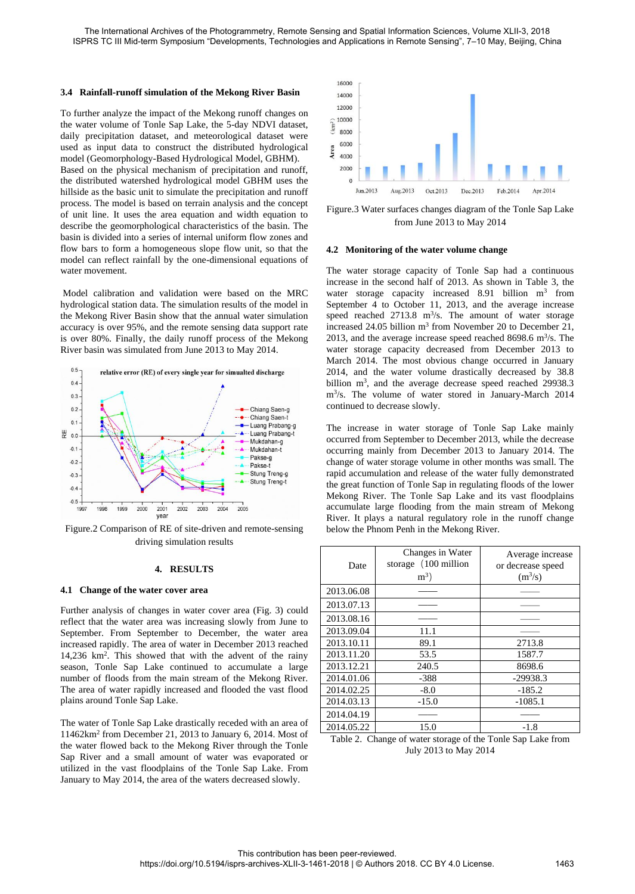## **3.4 Rainfall-runoff simulation of the Mekong River Basin**

To further analyze the impact of the Mekong runoff changes on the water volume of Tonle Sap Lake, the 5-day NDVI dataset, daily precipitation dataset, and meteorological dataset were used as input data to construct the distributed hydrological model (Geomorphology-Based Hydrological Model, GBHM). Based on the physical mechanism of precipitation and runoff, the distributed watershed hydrological model GBHM uses the hillside as the basic unit to simulate the precipitation and runoff process. The model is based on terrain analysis and the concept of unit line. It uses the area equation and width equation to describe the geomorphological characteristics of the basin. The basin is divided into a series of internal uniform flow zones and flow bars to form a homogeneous slope flow unit, so that the model can reflect rainfall by the one-dimensional equations of water movement.

Model calibration and validation were based on the MRC hydrological station data. The simulation results of the model in the Mekong River Basin show that the annual water simulation accuracy is over 95%, and the remote sensing data support rate is over 80%. Finally, the daily runoff process of the Mekong River basin was simulated from June 2013 to May 2014.



Figure.2 Comparison of RE of site-driven and remote-sensing driving simulation results

#### **4. RESULTS**

## **4.1 Change of the water cover area**

Further analysis of changes in water cover area (Fig. 3) could reflect that the water area was increasing slowly from June to September. From September to December, the water area increased rapidly. The area of water in December 2013 reached 14,236 km<sup>2</sup> . This showed that with the advent of the rainy season, Tonle Sap Lake continued to accumulate a large number of floods from the main stream of the Mekong River. The area of water rapidly increased and flooded the vast flood plains around Tonle Sap Lake.

The water of Tonle Sap Lake drastically receded with an area of 11462km<sup>2</sup> from December 21, 2013 to January 6, 2014. Most of the water flowed back to the Mekong River through the Tonle Sap River and a small amount of water was evaporated or utilized in the vast floodplains of the Tonle Sap Lake. From January to May 2014, the area of the waters decreased slowly.



Figure.3 Water surfaces changes diagram of the Tonle Sap Lake from June 2013 to May 2014

## **4.2 Monitoring of the water volume change**

The water storage capacity of Tonle Sap had a continuous increase in the second half of 2013. As shown in Table 3, the water storage capacity increased 8.91 billion m<sup>3</sup> from September 4 to October 11, 2013, and the average increase speed reached  $2713.8 \text{ m}^3/\text{s}$ . The amount of water storage increased  $24.05$  billion m<sup>3</sup> from November 20 to December 21, 2013, and the average increase speed reached 8698.6  $\text{m}^3\text{/s}$ . The water storage capacity decreased from December 2013 to March 2014. The most obvious change occurred in January 2014, and the water volume drastically decreased by 38.8 billion m<sup>3</sup>, and the average decrease speed reached 29938.3 m<sup>3</sup> /s. The volume of water stored in January-March 2014 continued to decrease slowly.

The increase in water storage of Tonle Sap Lake mainly occurred from September to December 2013, while the decrease occurring mainly from December 2013 to January 2014. The change of water storage volume in other months was small. The rapid accumulation and release of the water fully demonstrated the great function of Tonle Sap in regulating floods of the lower Mekong River. The Tonle Sap Lake and its vast floodplains accumulate large flooding from the main stream of Mekong River. It plays a natural regulatory role in the runoff change below the Phnom Penh in the Mekong River.

| Date       | Changes in Water<br>storage (100 million<br>$m^3$ ) | Average increase<br>or decrease speed<br>$(m^3/s)$ |
|------------|-----------------------------------------------------|----------------------------------------------------|
| 2013.06.08 |                                                     |                                                    |
| 2013.07.13 |                                                     |                                                    |
| 2013.08.16 |                                                     |                                                    |
| 2013.09.04 | 11.1                                                |                                                    |
| 2013.10.11 | 89.1                                                | 2713.8                                             |
| 2013.11.20 | 53.5                                                | 1587.7                                             |
| 2013.12.21 | 240.5                                               | 8698.6                                             |
| 2014.01.06 | $-388$                                              | $-29938.3$                                         |
| 2014.02.25 | $-8.0$                                              | $-185.2$                                           |
| 2014.03.13 | $-15.0$                                             | $-1085.1$                                          |
| 2014.04.19 |                                                     |                                                    |
| 2014.05.22 | 15.0                                                | $-1.8$                                             |

Table 2. Change of water storage of the Tonle Sap Lake from July 2013 to May 2014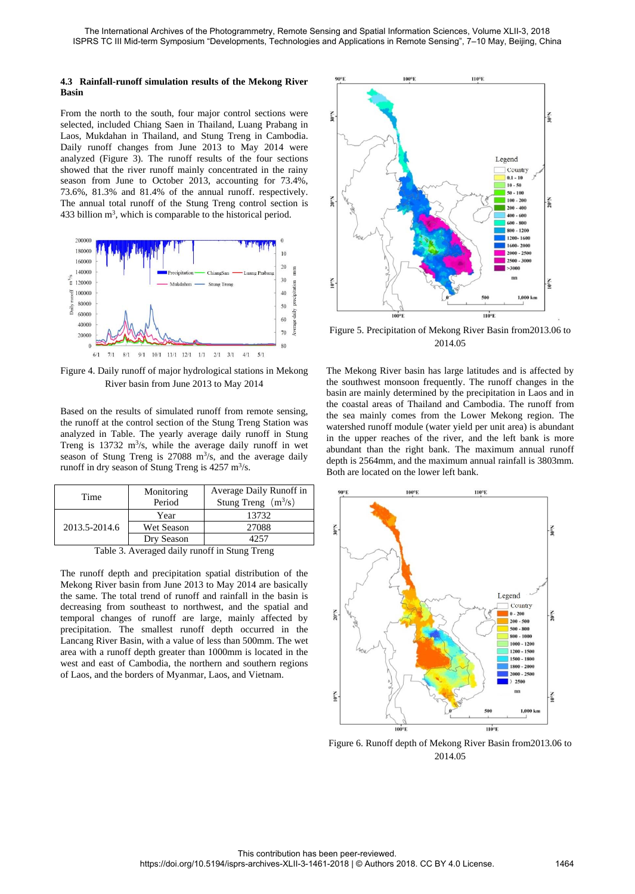## **4.3 Rainfall-runoff simulation results of the Mekong River Basin**

From the north to the south, four major control sections were selected, included Chiang Saen in Thailand, Luang Prabang in Laos, Mukdahan in Thailand, and Stung Treng in Cambodia. Daily runoff changes from June 2013 to May 2014 were analyzed (Figure 3). The runoff results of the four sections showed that the river runoff mainly concentrated in the rainy season from June to October 2013, accounting for 73.4%, 73.6%, 81.3% and 81.4% of the annual runoff. respectively. The annual total runoff of the Stung Treng control section is 433 billion  $m^3$ , which is comparable to the historical period.



Figure 4. Daily runoff of major hydrological stations in Mekong River basin from June 2013 to May 2014

Based on the results of simulated runoff from remote sensing, the runoff at the control section of the Stung Treng Station was analyzed in Table. The yearly average daily runoff in Stung Treng is  $13732 \text{ m}^3\text{/s}$ , while the average daily runoff in wet season of Stung Treng is  $27088 \text{ m}^3/\text{s}$ , and the average daily runoff in dry season of Stung Treng is  $4257 \text{ m}^3\text{/s}.$ 

| Time          | Monitoring<br>Period | Average Daily Runoff in<br>Stung Treng $(m^3/s)$ |
|---------------|----------------------|--------------------------------------------------|
| 2013.5-2014.6 | Year                 | 13732                                            |
|               | Wet Season           | 27088                                            |
|               | Dry Season           | 4257                                             |
|               | ----                 | $-1$<br>___<br>$-$                               |

Table 3. Averaged daily runoff in Stung Treng

The runoff depth and precipitation spatial distribution of the Mekong River basin from June 2013 to May 2014 are basically the same. The total trend of runoff and rainfall in the basin is decreasing from southeast to northwest, and the spatial and temporal changes of runoff are large, mainly affected by precipitation. The smallest runoff depth occurred in the Lancang River Basin, with a value of less than 500mm. The wet area with a runoff depth greater than 1000mm is located in the west and east of Cambodia, the northern and southern regions of Laos, and the borders of Myanmar, Laos, and Vietnam.



Figure 5. Precipitation of Mekong River Basin from2013.06 to 2014.05

The Mekong River basin has large latitudes and is affected by the southwest monsoon frequently. The runoff changes in the basin are mainly determined by the precipitation in Laos and in the coastal areas of Thailand and Cambodia. The runoff from the sea mainly comes from the Lower Mekong region. The watershed runoff module (water yield per unit area) is abundant in the upper reaches of the river, and the left bank is more abundant than the right bank. The maximum annual runoff depth is 2564mm, and the maximum annual rainfall is 3803mm. Both are located on the lower left bank.



Figure 6. Runoff depth of Mekong River Basin from2013.06 to 2014.05